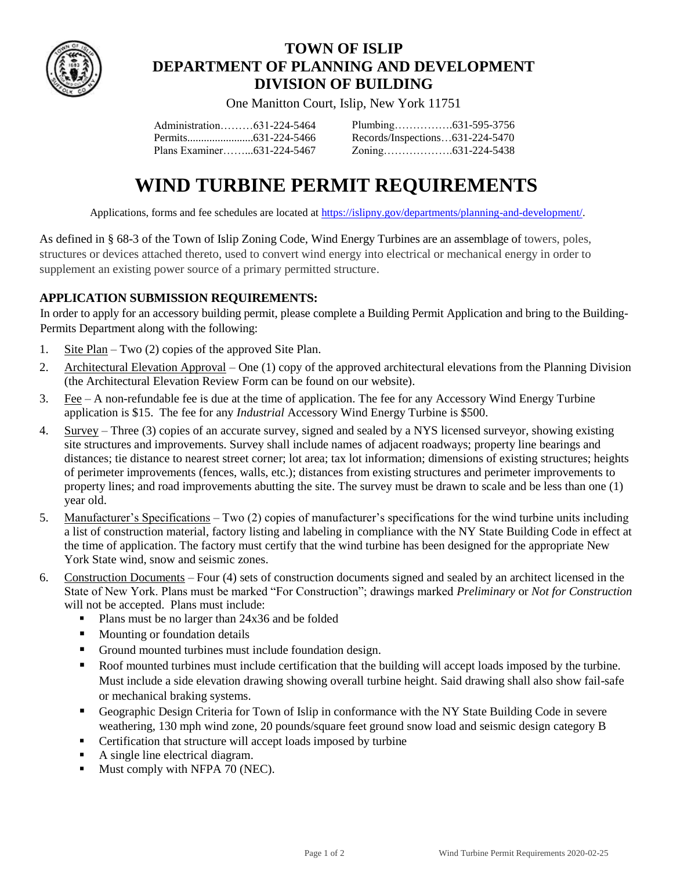

## **TOWN OF ISLIP DEPARTMENT OF PLANNING AND DEVELOPMENT DIVISION OF BUILDING**

One Manitton Court, Islip, New York 11751

| Administration631-224-5464 |  |
|----------------------------|--|
|                            |  |
| Plans Examiner631-224-5467 |  |

| Records/Inspections631-224-5470 |
|---------------------------------|
|                                 |

# **WIND TURBINE PERMIT REQUIREMENTS**

Applications, forms and fee schedules are located at [https://islipny.gov/departments/planning-and-development/.](https://islipny.gov/departments/planning-and-development/)

As defined in § 68-3 of the Town of Islip Zoning Code, Wind Energy Turbines are an assemblage of towers, poles, structures or devices attached thereto, used to convert wind energy into electrical or mechanical energy in order to supplement an existing power source of a primary permitted structure.

#### **APPLICATION SUBMISSION REQUIREMENTS:**

In order to apply for an accessory building permit, please complete a Building Permit Application and bring to the Building-Permits Department along with the following:

- 1. Site Plan Two (2) copies of the approved Site Plan.
- 2. Architectural Elevation Approval One (1) copy of the approved architectural elevations from the Planning Division (the Architectural Elevation Review Form can be found on our website).
- 3. Fee A non-refundable fee is due at the time of application. The fee for any Accessory Wind Energy Turbine application is \$15. The fee for any *Industrial* Accessory Wind Energy Turbine is \$500.
- 4. Survey Three (3) copies of an accurate survey, signed and sealed by a NYS licensed surveyor, showing existing site structures and improvements. Survey shall include names of adjacent roadways; property line bearings and distances; tie distance to nearest street corner; lot area; tax lot information; dimensions of existing structures; heights of perimeter improvements (fences, walls, etc.); distances from existing structures and perimeter improvements to property lines; and road improvements abutting the site. The survey must be drawn to scale and be less than one (1) year old.
- 5. Manufacturer's Specifications Two (2) copies of manufacturer's specifications for the wind turbine units including a list of construction material, factory listing and labeling in compliance with the NY State Building Code in effect at the time of application. The factory must certify that the wind turbine has been designed for the appropriate New York State wind, snow and seismic zones.
- 6. Construction Documents Four (4) sets of construction documents signed and sealed by an architect licensed in the State of New York. Plans must be marked "For Construction"; drawings marked *Preliminary* or *Not for Construction* will not be accepted. Plans must include:
	- Plans must be no larger than 24x36 and be folded
	- **Mounting or foundation details**
	- Ground mounted turbines must include foundation design.
	- Roof mounted turbines must include certification that the building will accept loads imposed by the turbine. Must include a side elevation drawing showing overall turbine height. Said drawing shall also show fail-safe or mechanical braking systems.
	- Geographic Design Criteria for Town of Islip in conformance with the NY State Building Code in severe weathering, 130 mph wind zone, 20 pounds/square feet ground snow load and seismic design category B
	- Certification that structure will accept loads imposed by turbine
	- A single line electrical diagram.
	- Must comply with NFPA 70 (NEC).